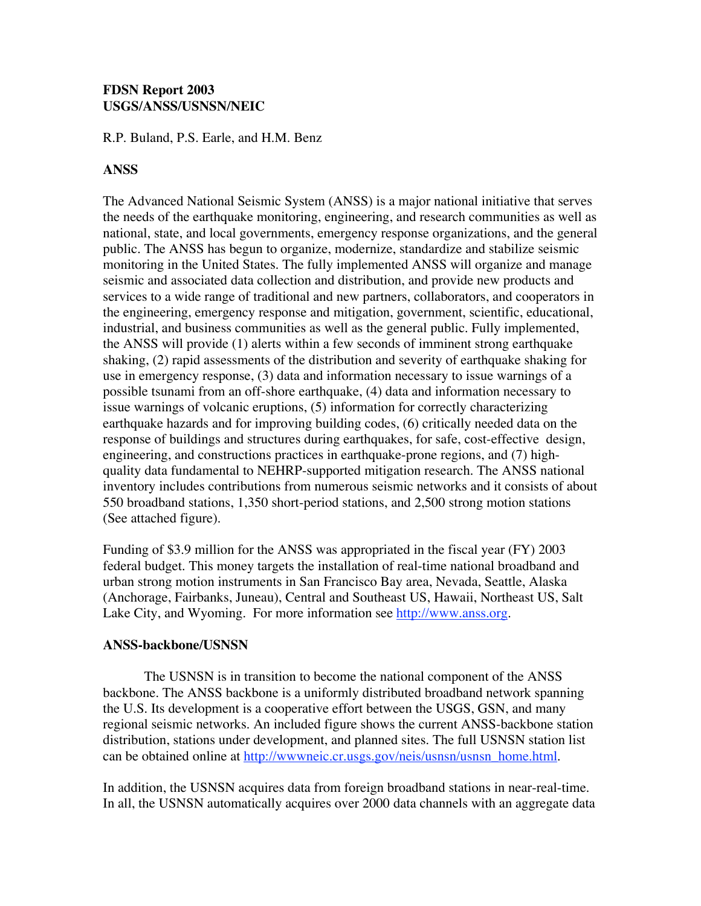## **FDSN Report 2003 USGS/ANSS/USNSN/NEIC**

R.P. Buland, P.S. Earle, and H.M. Benz

## **ANSS**

The Advanced National Seismic System (ANSS) is a major national initiative that serves the needs of the earthquake monitoring, engineering, and research communities as well as national, state, and local governments, emergency response organizations, and the general public. The ANSS has begun to organize, modernize, standardize and stabilize seismic monitoring in the United States. The fully implemented ANSS will organize and manage seismic and associated data collection and distribution, and provide new products and services to a wide range of traditional and new partners, collaborators, and cooperators in the engineering, emergency response and mitigation, government, scientific, educational, industrial, and business communities as well as the general public. Fully implemented, the ANSS will provide (1) alerts within a few seconds of imminent strong earthquake shaking, (2) rapid assessments of the distribution and severity of earthquake shaking for use in emergency response, (3) data and information necessary to issue warnings of a possible tsunami from an off-shore earthquake, (4) data and information necessary to issue warnings of volcanic eruptions, (5) information for correctly characterizing earthquake hazards and for improving building codes, (6) critically needed data on the response of buildings and structures during earthquakes, for safe, cost-effective !design, engineering, and constructions practices in earthquake-prone regions, and (7) highquality data fundamental to NEHRP-supported mitigation research. The ANSS national inventory includes contributions from numerous seismic networks and it consists of about 550 broadband stations, 1,350 short-period stations, and 2,500 strong motion stations (See attached figure).

Funding of \$3.9 million for the ANSS was appropriated in the fiscal year (FY) 2003 federal budget. This money targets the installation of real-time national broadband and urban strong motion instruments in San Francisco Bay area, Nevada, Seattle, Alaska (Anchorage, Fairbanks, Juneau), Central and Southeast US, Hawaii, Northeast US, Salt Lake City, and Wyoming. For more information see http://www.anss.org.

## **ANSS-backbone/USNSN**

!!!!!!!!!!! The USNSN is in transition to become the national component of the ANSS backbone. The ANSS backbone is a uniformly distributed broadband network spanning the U.S. Its development is a cooperative effort between the USGS, GSN, and many regional seismic networks. An included figure shows the current ANSS-backbone station distribution, stations under development, and planned sites. The full USNSN station list can be obtained online at http://www.neic.cr.usgs.gov/neis/usnsn/usnsn\_home.html.

In addition, the USNSN acquires data from foreign broadband stations in near-real-time. In all, the USNSN automatically acquires over 2000 data channels with an aggregate data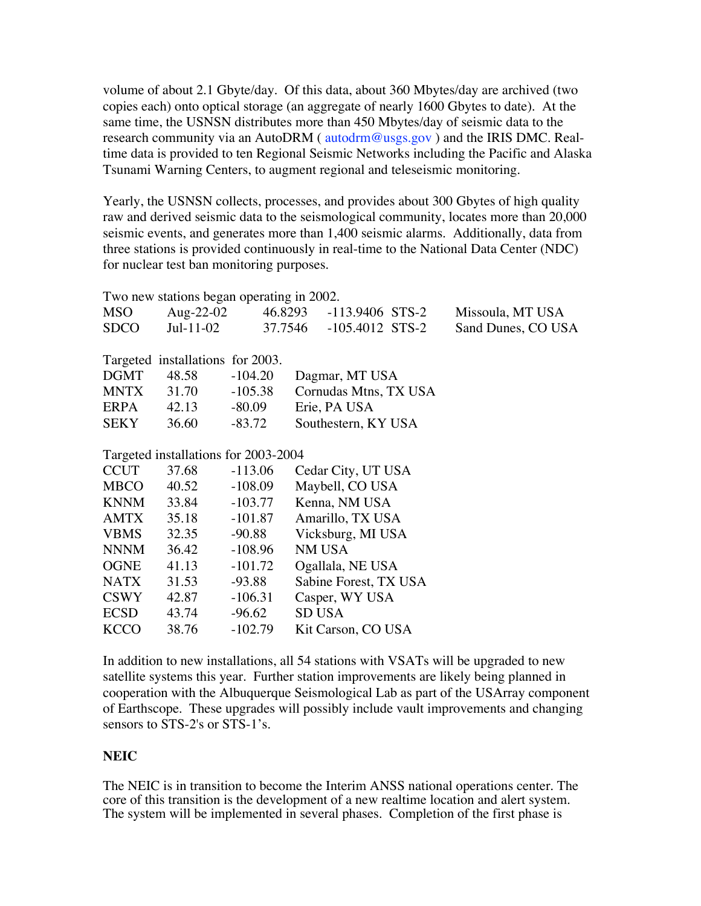volume of about 2.1 Gbyte/day. !Of this data, about 360 Mbytes/day are archived (two copies each) onto optical storage (an aggregate of nearly 1600 Gbytes to date). !At the same time, the USNSN distributes more than 450 Mbytes/day of seismic data to the research community via an AutoDRM ( autodrm@usgs.gov ) and the IRIS DMC. Realtime data is provided to ten Regional Seismic Networks including the Pacific and Alaska Tsunami Warning Centers, to augment regional and teleseismic monitoring.

Yearly, the USNSN collects, processes, and provides about 300 Gbytes of high quality raw and derived seismic data to the seismological community, locates more than 20,000 seismic events, and generates more than 1,400 seismic alarms. !Additionally, data from three stations is provided continuously in real-time to the National Data Center (NDC) for nuclear test ban monitoring purposes.

| Two new stations began operating in 2002. |           |           |                         |                    |
|-------------------------------------------|-----------|-----------|-------------------------|--------------------|
| <b>MSO</b>                                | Aug-22-02 |           | 46.8293 -113.9406 STS-2 | Missoula, MT USA   |
| <b>SDCO</b>                               | Jul-11-02 |           | 37.7546 -105.4012 STS-2 | Sand Dunes, CO USA |
|                                           |           |           |                         |                    |
| Targeted installations for 2003.          |           |           |                         |                    |
| <b>DGMT</b>                               | 48.58     | $-104.20$ | Dagmar, MT USA          |                    |
| <b>MNTX</b>                               | 31.70     | $-105.38$ | Cornudas Mtns, TX USA   |                    |
| ERPA                                      | 42.13     | -80.09    | Erie, PA USA            |                    |
| SEKY                                      | 36.60     | $-83.72$  | Southestern, KY USA     |                    |
|                                           |           |           |                         |                    |
| Targeted installations for 2003-2004      |           |           |                         |                    |
| <b>CCUT</b>                               | 37.68     | $-113.06$ | Cedar City, UT USA      |                    |
| <b>MBCO</b>                               | 40.52     | $-108.09$ | Maybell, CO USA         |                    |
| <b>KNNM</b>                               | 33.84     | $-103.77$ | Kenna, NM USA           |                    |
| AMTX                                      | 35.18     | -101.87   | Amarillo, TX USA        |                    |
| <b>VBMS</b>                               | 32.35     | -90.88    | Vicksburg, MI USA       |                    |
| <b>NNNM</b>                               | 36.42     | $-108.96$ | NM USA                  |                    |
| <b>OGNE</b>                               | 41.13     | $-101.72$ | Ogallala, NE USA        |                    |
| <b>NATX</b>                               | 31.53     | $-93.88$  | Sabine Forest, TX USA   |                    |
| <b>CSWY</b>                               | 42.87     | $-106.31$ | Casper, WY USA          |                    |
| <b>ECSD</b>                               | 43.74     | $-96.62$  | <b>SD USA</b>           |                    |
| <b>KCCO</b>                               | 38.76     | $-102.79$ | Kit Carson, CO USA      |                    |
|                                           |           |           |                         |                    |

In addition to new installations, all 54 stations with VSATs will be upgraded to new satellite systems this year. Further station improvements are likely being planned in cooperation with the Albuquerque Seismological Lab as part of the USArray component of Earthscope. These upgrades will possibly include vault improvements and changing sensors to STS-2's or STS-1's.

## **NEIC**

The NEIC is in transition to become the Interim ANSS national operations center. The core of this transition is the development of a new realtime location and alert system. The system will be implemented in several phases. Completion of the first phase is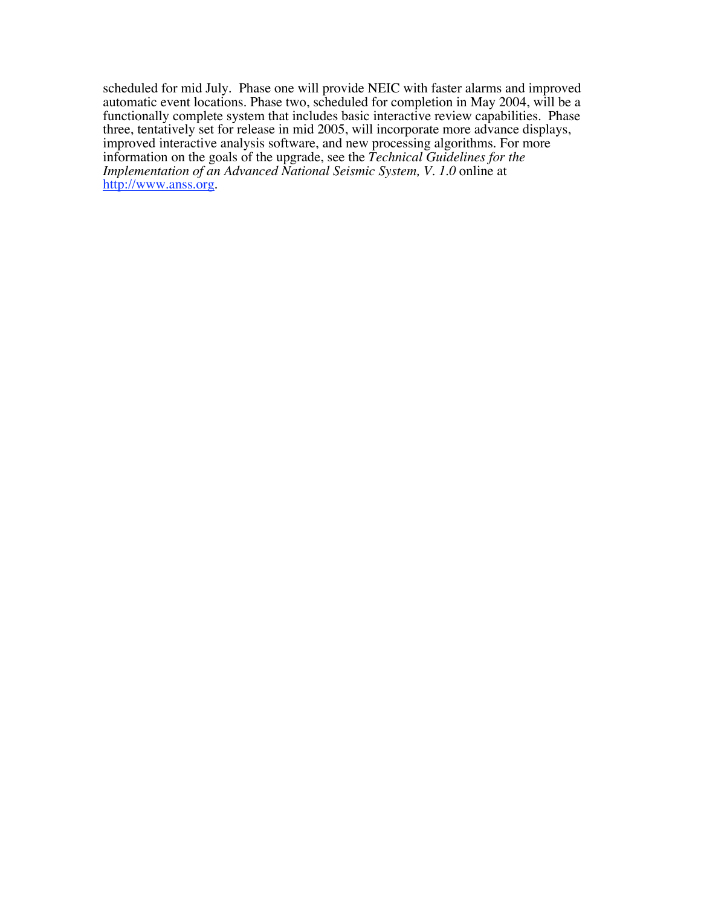scheduled for mid July. Phase one will provide NEIC with faster alarms and improved automatic event locations. Phase two, scheduled for completion in May 2004, will be a functionally complete system that includes basic interactive review capabilities. Phase three, tentatively set for release in mid 2005, will incorporate more advance displays, improved interactive analysis software, and new processing algorithms. For more information on the goals of the upgrade, see the *Technical Guidelines for the Implementation of an Advanced National Seismic System, V. 1.0* online at http://www.anss.org.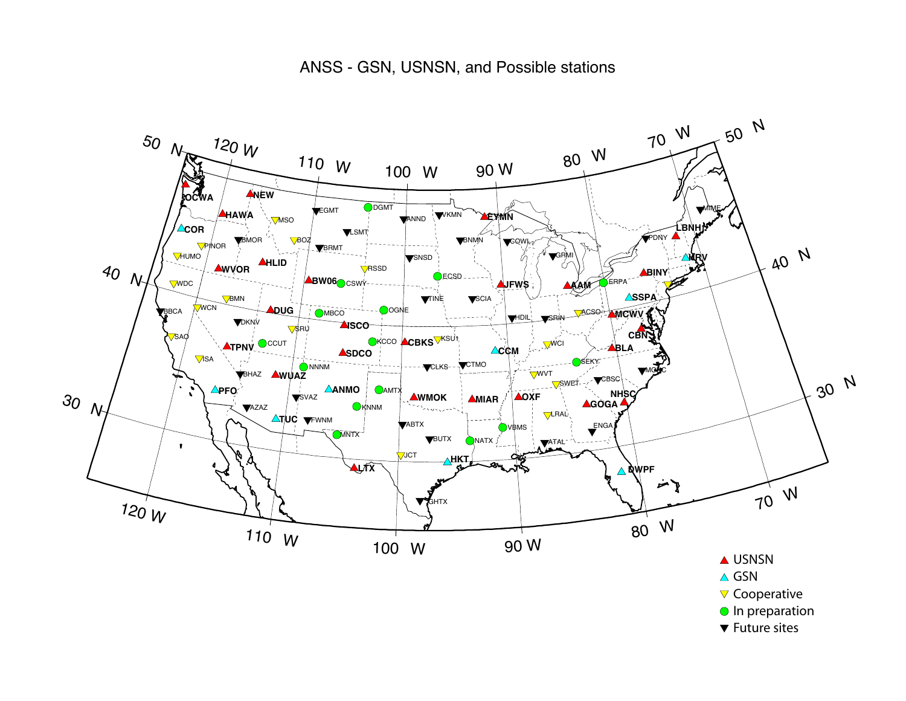